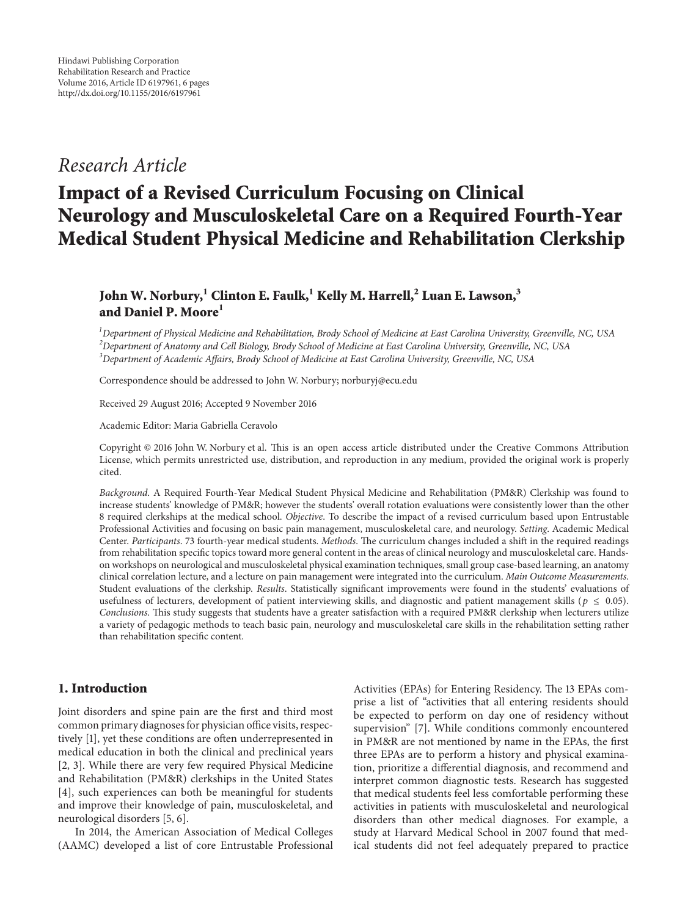## *Research Article*

# **Impact of a Revised Curriculum Focusing on Clinical Neurology and Musculoskeletal Care on a Required Fourth-Year Medical Student Physical Medicine and Rehabilitation Clerkship**

### **John W. Norbury,<sup>1</sup> Clinton E. Faulk,<sup>1</sup> Kelly M. Harrell,<sup>2</sup> Luan E. Lawson,3 and Daniel P. Moore<sup>1</sup>**

*1 Department of Physical Medicine and Rehabilitation, Brody School of Medicine at East Carolina University, Greenville, NC, USA 2 Department of Anatomy and Cell Biology, Brody School of Medicine at East Carolina University, Greenville, NC, USA 3 Department of Academic Affairs, Brody School of Medicine at East Carolina University, Greenville, NC, USA*

Correspondence should be addressed to John W. Norbury; norburyj@ecu.edu

Received 29 August 2016; Accepted 9 November 2016

Academic Editor: Maria Gabriella Ceravolo

Copyright © 2016 John W. Norbury et al. This is an open access article distributed under the Creative Commons Attribution License, which permits unrestricted use, distribution, and reproduction in any medium, provided the original work is properly cited.

*Background*. A Required Fourth-Year Medical Student Physical Medicine and Rehabilitation (PM&R) Clerkship was found to increase students' knowledge of PM&R; however the students' overall rotation evaluations were consistently lower than the other 8 required clerkships at the medical school. *Objective*. To describe the impact of a revised curriculum based upon Entrustable Professional Activities and focusing on basic pain management, musculoskeletal care, and neurology. *Setting*. Academic Medical Center. *Participants*. 73 fourth-year medical students. *Methods*. The curriculum changes included a shift in the required readings from rehabilitation specific topics toward more general content in the areas of clinical neurology and musculoskeletal care. Handson workshops on neurological and musculoskeletal physical examination techniques, small group case-based learning, an anatomy clinical correlation lecture, and a lecture on pain management were integrated into the curriculum. *Main Outcome Measurements*. Student evaluations of the clerkship. *Results*. Statistically significant improvements were found in the students' evaluations of usefulness of lecturers, development of patient interviewing skills, and diagnostic and patient management skills ( $p \leq 0.05$ ). *Conclusions*. This study suggests that students have a greater satisfaction with a required PM&R clerkship when lecturers utilize a variety of pedagogic methods to teach basic pain, neurology and musculoskeletal care skills in the rehabilitation setting rather than rehabilitation specific content.

#### **1. Introduction**

Joint disorders and spine pain are the first and third most common primary diagnoses for physician office visits, respectively [\[1](#page-5-0)], yet these conditions are often underrepresented in medical education in both the clinical and preclinical years [\[2,](#page-5-1) [3](#page-5-2)]. While there are very few required Physical Medicine and Rehabilitation (PM&R) clerkships in the United States [\[4\]](#page-5-3), such experiences can both be meaningful for students and improve their knowledge of pain, musculoskeletal, and neurological disorders [\[5,](#page-5-4) [6](#page-5-5)].

In 2014, the American Association of Medical Colleges (AAMC) developed a list of core Entrustable Professional Activities (EPAs) for Entering Residency. The 13 EPAs comprise a list of "activities that all entering residents should be expected to perform on day one of residency without supervision" [\[7\]](#page-5-6). While conditions commonly encountered in PM&R are not mentioned by name in the EPAs, the first three EPAs are to perform a history and physical examination, prioritize a differential diagnosis, and recommend and interpret common diagnostic tests. Research has suggested that medical students feel less comfortable performing these activities in patients with musculoskeletal and neurological disorders than other medical diagnoses. For example, a study at Harvard Medical School in 2007 found that medical students did not feel adequately prepared to practice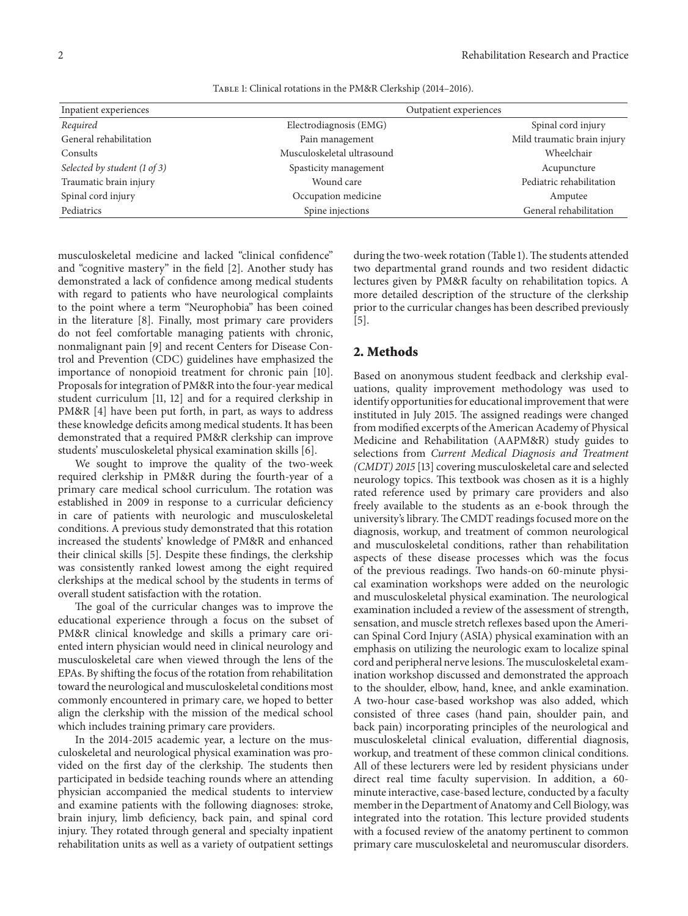| Inpatient experiences        | Outpatient experiences     |                             |  |
|------------------------------|----------------------------|-----------------------------|--|
| Required                     | Electrodiagnosis (EMG)     | Spinal cord injury          |  |
| General rehabilitation       | Pain management            | Mild traumatic brain injury |  |
| Consults                     | Musculoskeletal ultrasound | Wheelchair                  |  |
| Selected by student (1 of 3) | Spasticity management      | Acupuncture                 |  |
| Traumatic brain injury       | Wound care                 | Pediatric rehabilitation    |  |
| Spinal cord injury           | Occupation medicine        | Amputee                     |  |
| Pediatrics                   | Spine injections           | General rehabilitation      |  |

<span id="page-1-0"></span>Table 1: Clinical rotations in the PM&R Clerkship (2014–2016).

musculoskeletal medicine and lacked "clinical confidence" and "cognitive mastery" in the field [\[2\]](#page-5-1). Another study has demonstrated a lack of confidence among medical students with regard to patients who have neurological complaints to the point where a term "Neurophobia" has been coined in the literature [\[8](#page-5-7)]. Finally, most primary care providers do not feel comfortable managing patients with chronic, nonmalignant pain [\[9](#page-5-8)] and recent Centers for Disease Control and Prevention (CDC) guidelines have emphasized the importance of nonopioid treatment for chronic pain [\[10\]](#page-5-9). Proposals for integration of PM&R into the four-year medical student curriculum [\[11,](#page-5-10) [12\]](#page-5-11) and for a required clerkship in PM&R [\[4\]](#page-5-3) have been put forth, in part, as ways to address these knowledge deficits among medical students. It has been demonstrated that a required PM&R clerkship can improve students' musculoskeletal physical examination skills [\[6](#page-5-5)].

We sought to improve the quality of the two-week required clerkship in PM&R during the fourth-year of a primary care medical school curriculum. The rotation was established in 2009 in response to a curricular deficiency in care of patients with neurologic and musculoskeletal conditions. A previous study demonstrated that this rotation increased the students' knowledge of PM&R and enhanced their clinical skills [\[5](#page-5-4)]. Despite these findings, the clerkship was consistently ranked lowest among the eight required clerkships at the medical school by the students in terms of overall student satisfaction with the rotation.

The goal of the curricular changes was to improve the educational experience through a focus on the subset of PM&R clinical knowledge and skills a primary care oriented intern physician would need in clinical neurology and musculoskeletal care when viewed through the lens of the EPAs. By shifting the focus of the rotation from rehabilitation toward the neurological and musculoskeletal conditions most commonly encountered in primary care, we hoped to better align the clerkship with the mission of the medical school which includes training primary care providers.

In the 2014-2015 academic year, a lecture on the musculoskeletal and neurological physical examination was provided on the first day of the clerkship. The students then participated in bedside teaching rounds where an attending physician accompanied the medical students to interview and examine patients with the following diagnoses: stroke, brain injury, limb deficiency, back pain, and spinal cord injury. They rotated through general and specialty inpatient rehabilitation units as well as a variety of outpatient settings during the two-week rotation (Table [1\)](#page-1-0). The students attended two departmental grand rounds and two resident didactic lectures given by PM&R faculty on rehabilitation topics. A more detailed description of the structure of the clerkship prior to the curricular changes has been described previously [\[5\]](#page-5-4).

#### **2. Methods**

Based on anonymous student feedback and clerkship evaluations, quality improvement methodology was used to identify opportunities for educational improvement that were instituted in July 2015. The assigned readings were changed from modified excerpts of the American Academy of Physical Medicine and Rehabilitation (AAPM&R) study guides to selections from *Current Medical Diagnosis and Treatment (CMDT) 2015* [\[13\]](#page-5-12) covering musculoskeletal care and selected neurology topics. This textbook was chosen as it is a highly rated reference used by primary care providers and also freely available to the students as an e-book through the university's library. The CMDT readings focused more on the diagnosis, workup, and treatment of common neurological and musculoskeletal conditions, rather than rehabilitation aspects of these disease processes which was the focus of the previous readings. Two hands-on 60-minute physical examination workshops were added on the neurologic and musculoskeletal physical examination. The neurological examination included a review of the assessment of strength, sensation, and muscle stretch reflexes based upon the American Spinal Cord Injury (ASIA) physical examination with an emphasis on utilizing the neurologic exam to localize spinal cord and peripheral nerve lesions.The musculoskeletal examination workshop discussed and demonstrated the approach to the shoulder, elbow, hand, knee, and ankle examination. A two-hour case-based workshop was also added, which consisted of three cases (hand pain, shoulder pain, and back pain) incorporating principles of the neurological and musculoskeletal clinical evaluation, differential diagnosis, workup, and treatment of these common clinical conditions. All of these lecturers were led by resident physicians under direct real time faculty supervision. In addition, a 60 minute interactive, case-based lecture, conducted by a faculty member in the Department of Anatomy and Cell Biology, was integrated into the rotation. This lecture provided students with a focused review of the anatomy pertinent to common primary care musculoskeletal and neuromuscular disorders.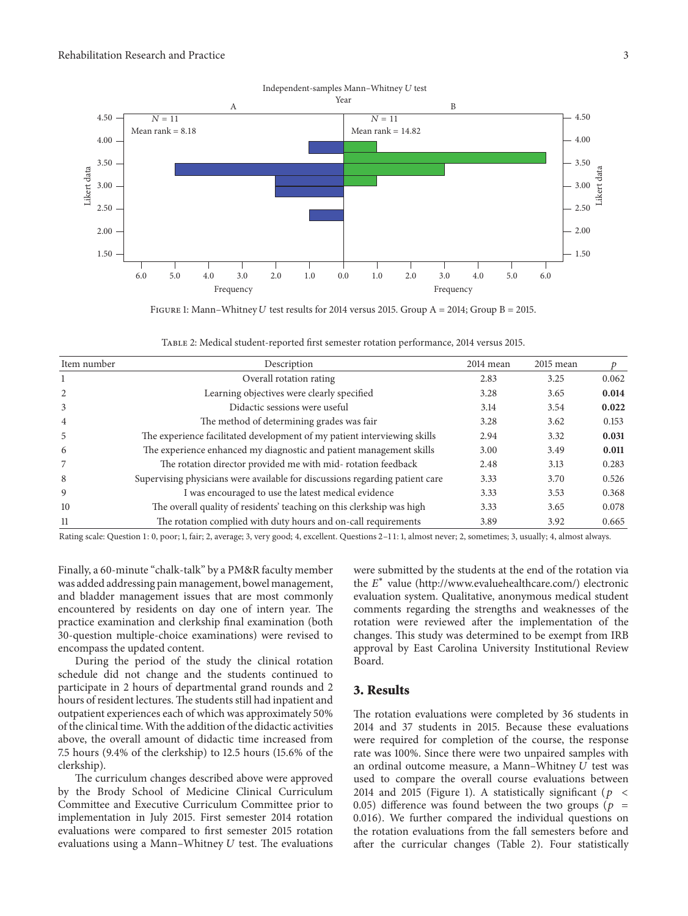

FIGURE 1: Mann–Whitney U test results for 2014 versus 2015. Group  $A = 2014$ ; Group B = 2015.

| Item number    | Description                                                                  | $2014$ mean | $2015$ mean |       |
|----------------|------------------------------------------------------------------------------|-------------|-------------|-------|
|                | Overall rotation rating                                                      | 2.83        | 3.25        | 0.062 |
| 2              | Learning objectives were clearly specified                                   | 3.28        | 3.65        | 0.014 |
| 3              | Didactic sessions were useful                                                | 3.14        | 3.54        | 0.022 |
| $\overline{4}$ | The method of determining grades was fair                                    | 3.28        | 3.62        | 0.153 |
| 5              | The experience facilitated development of my patient interviewing skills     | 2.94        | 3.32        | 0.031 |
| -6             | The experience enhanced my diagnostic and patient management skills          | 3.00        | 3.49        | 0.011 |
| 7              | The rotation director provided me with mid-rotation feedback                 | 2.48        | 3.13        | 0.283 |
| 8              | Supervising physicians were available for discussions regarding patient care | 3.33        | 3.70        | 0.526 |
| 9              | I was encouraged to use the latest medical evidence                          | 3.33        | 3.53        | 0.368 |
| 10             | The overall quality of residents' teaching on this clerkship was high        | 3.33        | 3.65        | 0.078 |
| -11            | The rotation complied with duty hours and on-call requirements               | 3.89        | 3.92        | 0.665 |

<span id="page-2-1"></span><span id="page-2-0"></span>Table 2: Medical student-reported first semester rotation performance, 2014 versus 2015.

Rating scale: Question 1: 0, poor; 1, fair; 2, average; 3, very good; 4, excellent. Questions 2–11: 1, almost never; 2, sometimes; 3, usually; 4, almost always.

Finally, a 60-minute "chalk-talk" by a PM&R faculty member was added addressing pain management, bowel management, and bladder management issues that are most commonly encountered by residents on day one of intern year. The practice examination and clerkship final examination (both 30-question multiple-choice examinations) were revised to encompass the updated content.

During the period of the study the clinical rotation schedule did not change and the students continued to participate in 2 hours of departmental grand rounds and 2 hours of resident lectures. The students still had inpatient and outpatient experiences each of which was approximately 50% of the clinical time. With the addition of the didactic activities above, the overall amount of didactic time increased from 7.5 hours (9.4% of the clerkship) to 12.5 hours (15.6% of the clerkship).

The curriculum changes described above were approved by the Brody School of Medicine Clinical Curriculum Committee and Executive Curriculum Committee prior to implementation in July 2015. First semester 2014 rotation evaluations were compared to first semester 2015 rotation evaluations using a Mann–Whitney  $U$  test. The evaluations were submitted by the students at the end of the rotation via the  $E^*$  value [\(http://www.evaluehealthcare.com/\)](http://www.evaluehealthcare.com/) electronic evaluation system. Qualitative, anonymous medical student comments regarding the strengths and weaknesses of the rotation were reviewed after the implementation of the changes. This study was determined to be exempt from IRB approval by East Carolina University Institutional Review Board.

#### **3. Results**

The rotation evaluations were completed by 36 students in 2014 and 37 students in 2015. Because these evaluations were required for completion of the course, the response rate was 100%. Since there were two unpaired samples with an ordinal outcome measure, a Mann–Whitney  $U$  test was used to compare the overall course evaluations between 2014 and 2015 (Figure [1\)](#page-2-0). A statistically significant ( $p \leq$ 0.05) difference was found between the two groups ( $p =$ 0.016). We further compared the individual questions on the rotation evaluations from the fall semesters before and after the curricular changes (Table [2\)](#page-2-1). Four statistically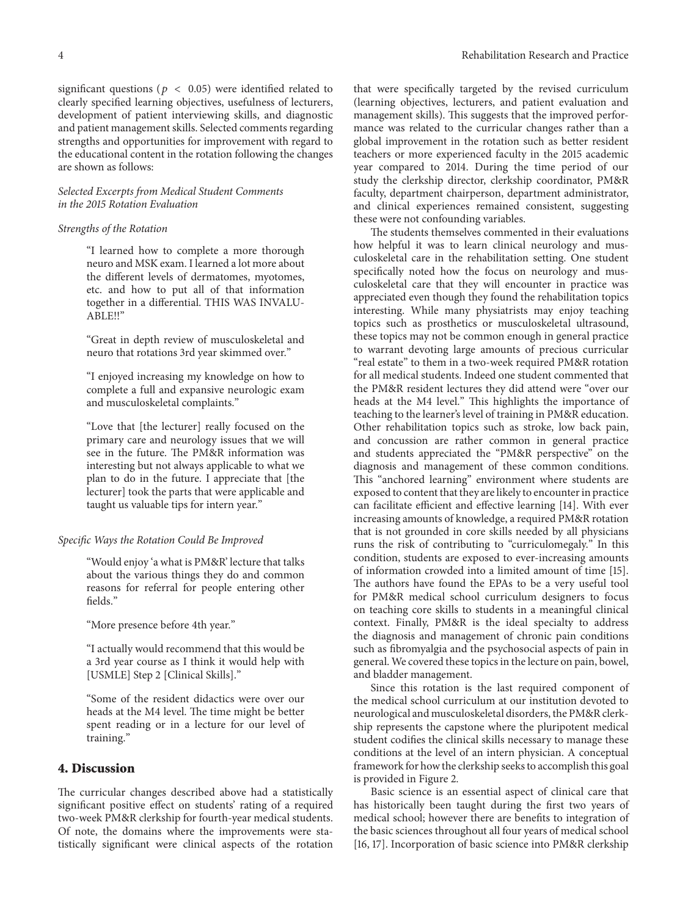#### *Selected Excerpts from Medical Student Comments in the 2015 Rotation Evaluation*

#### *Strengths of the Rotation*

"I learned how to complete a more thorough neuro and MSK exam. I learned a lot more about the different levels of dermatomes, myotomes, etc. and how to put all of that information together in a differential. THIS WAS INVALU-ABLE!!"

"Great in depth review of musculoskeletal and neuro that rotations 3rd year skimmed over."

"I enjoyed increasing my knowledge on how to complete a full and expansive neurologic exam and musculoskeletal complaints."

"Love that [the lecturer] really focused on the primary care and neurology issues that we will see in the future. The PM&R information was interesting but not always applicable to what we plan to do in the future. I appreciate that [the lecturer] took the parts that were applicable and taught us valuable tips for intern year."

#### *Specific Ways the Rotation Could Be Improved*

"Would enjoy 'a what is PM&R' lecture that talks about the various things they do and common reasons for referral for people entering other fields."

"More presence before 4th year."

"I actually would recommend that this would be a 3rd year course as I think it would help with [USMLE] Step 2 [Clinical Skills]."

"Some of the resident didactics were over our heads at the M4 level. The time might be better spent reading or in a lecture for our level of training."

#### **4. Discussion**

The curricular changes described above had a statistically significant positive effect on students' rating of a required two-week PM&R clerkship for fourth-year medical students. Of note, the domains where the improvements were statistically significant were clinical aspects of the rotation that were specifically targeted by the revised curriculum (learning objectives, lecturers, and patient evaluation and management skills). This suggests that the improved performance was related to the curricular changes rather than a global improvement in the rotation such as better resident teachers or more experienced faculty in the 2015 academic year compared to 2014. During the time period of our study the clerkship director, clerkship coordinator, PM&R faculty, department chairperson, department administrator, and clinical experiences remained consistent, suggesting these were not confounding variables.

The students themselves commented in their evaluations how helpful it was to learn clinical neurology and musculoskeletal care in the rehabilitation setting. One student specifically noted how the focus on neurology and musculoskeletal care that they will encounter in practice was appreciated even though they found the rehabilitation topics interesting. While many physiatrists may enjoy teaching topics such as prosthetics or musculoskeletal ultrasound, these topics may not be common enough in general practice to warrant devoting large amounts of precious curricular "real estate" to them in a two-week required PM&R rotation for all medical students. Indeed one student commented that the PM&R resident lectures they did attend were "over our heads at the M4 level." This highlights the importance of teaching to the learner's level of training in PM&R education. Other rehabilitation topics such as stroke, low back pain, and concussion are rather common in general practice and students appreciated the "PM&R perspective" on the diagnosis and management of these common conditions. This "anchored learning" environment where students are exposed to content that they are likely to encounter in practice can facilitate efficient and effective learning [\[14\]](#page-5-13). With ever increasing amounts of knowledge, a required PM&R rotation that is not grounded in core skills needed by all physicians runs the risk of contributing to "curriculomegaly." In this condition, students are exposed to ever-increasing amounts of information crowded into a limited amount of time [\[15](#page-5-14)]. The authors have found the EPAs to be a very useful tool for PM&R medical school curriculum designers to focus on teaching core skills to students in a meaningful clinical context. Finally, PM&R is the ideal specialty to address the diagnosis and management of chronic pain conditions such as fibromyalgia and the psychosocial aspects of pain in general. We covered these topics in the lecture on pain, bowel, and bladder management.

Since this rotation is the last required component of the medical school curriculum at our institution devoted to neurological and musculoskeletal disorders, the PM&R clerkship represents the capstone where the pluripotent medical student codifies the clinical skills necessary to manage these conditions at the level of an intern physician. A conceptual framework for how the clerkship seeks to accomplish this goal is provided in Figure [2.](#page-4-0)

Basic science is an essential aspect of clinical care that has historically been taught during the first two years of medical school; however there are benefits to integration of the basic sciences throughout all four years of medical school [\[16](#page-5-15), [17\]](#page-5-16). Incorporation of basic science into PM&R clerkship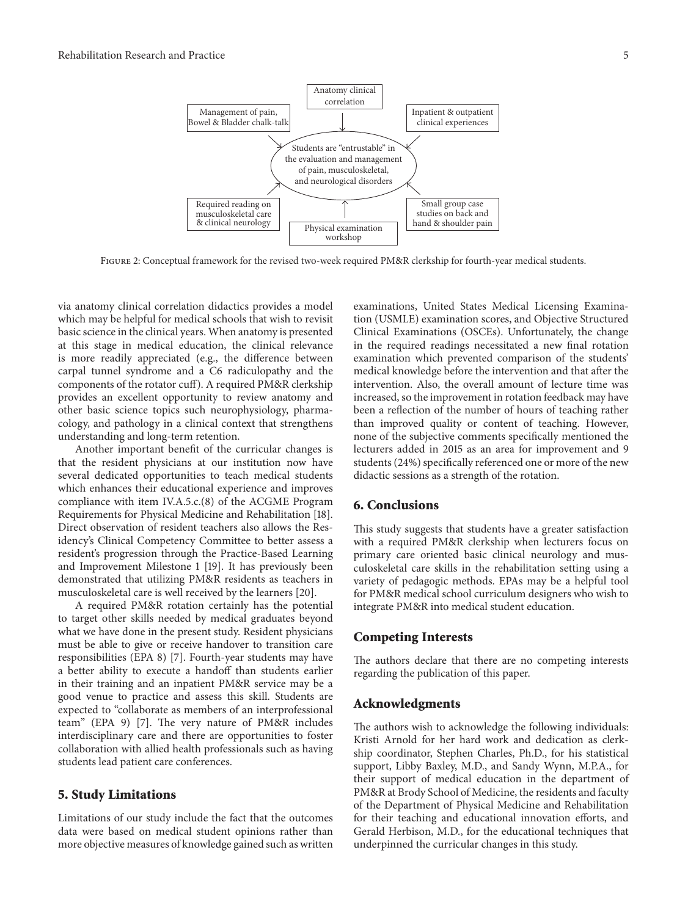

<span id="page-4-0"></span>Figure 2: Conceptual framework for the revised two-week required PM&R clerkship for fourth-year medical students.

via anatomy clinical correlation didactics provides a model which may be helpful for medical schools that wish to revisit basic science in the clinical years. When anatomy is presented at this stage in medical education, the clinical relevance is more readily appreciated (e.g., the difference between carpal tunnel syndrome and a C6 radiculopathy and the components of the rotator cuff). A required PM&R clerkship provides an excellent opportunity to review anatomy and other basic science topics such neurophysiology, pharmacology, and pathology in a clinical context that strengthens understanding and long-term retention.

Another important benefit of the curricular changes is that the resident physicians at our institution now have several dedicated opportunities to teach medical students which enhances their educational experience and improves compliance with item IV.A.5.c.(8) of the ACGME Program Requirements for Physical Medicine and Rehabilitation [\[18\]](#page-5-17). Direct observation of resident teachers also allows the Residency's Clinical Competency Committee to better assess a resident's progression through the Practice-Based Learning and Improvement Milestone 1 [\[19\]](#page-5-18). It has previously been demonstrated that utilizing PM&R residents as teachers in musculoskeletal care is well received by the learners [\[20\]](#page-5-19).

A required PM&R rotation certainly has the potential to target other skills needed by medical graduates beyond what we have done in the present study. Resident physicians must be able to give or receive handover to transition care responsibilities (EPA 8) [\[7](#page-5-6)]. Fourth-year students may have a better ability to execute a handoff than students earlier in their training and an inpatient PM&R service may be a good venue to practice and assess this skill. Students are expected to "collaborate as members of an interprofessional team" (EPA 9) [\[7](#page-5-6)]. The very nature of PM&R includes interdisciplinary care and there are opportunities to foster collaboration with allied health professionals such as having students lead patient care conferences.

#### **5. Study Limitations**

Limitations of our study include the fact that the outcomes data were based on medical student opinions rather than more objective measures of knowledge gained such as written examinations, United States Medical Licensing Examination (USMLE) examination scores, and Objective Structured Clinical Examinations (OSCEs). Unfortunately, the change in the required readings necessitated a new final rotation examination which prevented comparison of the students' medical knowledge before the intervention and that after the intervention. Also, the overall amount of lecture time was increased, so the improvement in rotation feedback may have been a reflection of the number of hours of teaching rather than improved quality or content of teaching. However, none of the subjective comments specifically mentioned the lecturers added in 2015 as an area for improvement and 9 students (24%) specifically referenced one or more of the new didactic sessions as a strength of the rotation.

#### **6. Conclusions**

This study suggests that students have a greater satisfaction with a required PM&R clerkship when lecturers focus on primary care oriented basic clinical neurology and musculoskeletal care skills in the rehabilitation setting using a variety of pedagogic methods. EPAs may be a helpful tool for PM&R medical school curriculum designers who wish to integrate PM&R into medical student education.

#### **Competing Interests**

The authors declare that there are no competing interests regarding the publication of this paper.

#### **Acknowledgments**

The authors wish to acknowledge the following individuals: Kristi Arnold for her hard work and dedication as clerkship coordinator, Stephen Charles, Ph.D., for his statistical support, Libby Baxley, M.D., and Sandy Wynn, M.P.A., for their support of medical education in the department of PM&R at Brody School of Medicine, the residents and faculty of the Department of Physical Medicine and Rehabilitation for their teaching and educational innovation efforts, and Gerald Herbison, M.D., for the educational techniques that underpinned the curricular changes in this study.